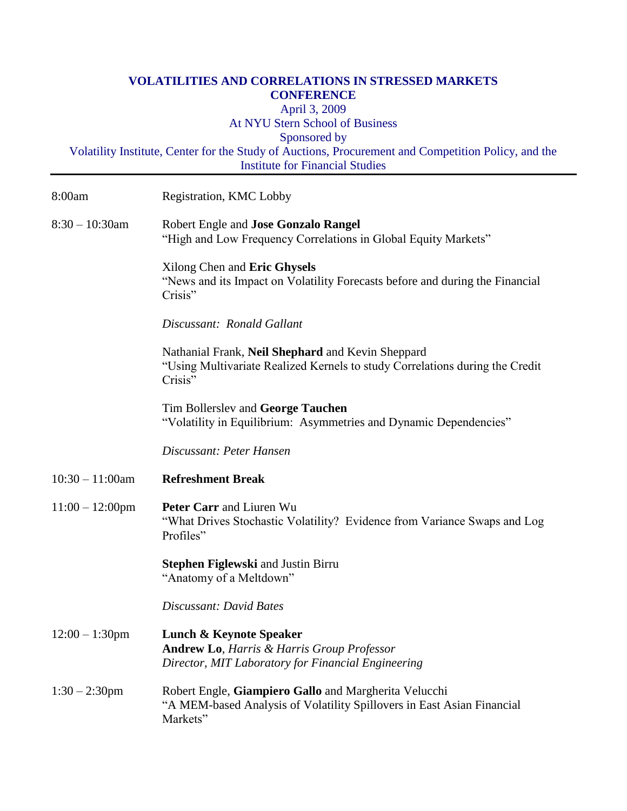## **VOLATILITIES AND CORRELATIONS IN STRESSED MARKETS CONFERENCE**  April 3, 2009 At NYU Stern School of Business Sponsored by Volatility Institute, Center for the Study of Auctions, Procurement and Competition Policy, and the Institute for Financial Studies

| 8:00am             | Registration, KMC Lobby                                                                                                                           |
|--------------------|---------------------------------------------------------------------------------------------------------------------------------------------------|
| $8:30 - 10:30$ am  | Robert Engle and Jose Gonzalo Rangel<br>"High and Low Frequency Correlations in Global Equity Markets"                                            |
|                    | Xilong Chen and Eric Ghysels<br>"News and its Impact on Volatility Forecasts before and during the Financial<br>Crisis"                           |
|                    | Discussant: Ronald Gallant                                                                                                                        |
|                    | Nathanial Frank, Neil Shephard and Kevin Sheppard<br>"Using Multivariate Realized Kernels to study Correlations during the Credit<br>Crisis"      |
|                    | Tim Bollerslev and George Tauchen<br>"Volatility in Equilibrium: Asymmetries and Dynamic Dependencies"                                            |
|                    | Discussant: Peter Hansen                                                                                                                          |
| $10:30 - 11:00$ am | <b>Refreshment Break</b>                                                                                                                          |
| $11:00 - 12:00$ pm | Peter Carr and Liuren Wu<br>"What Drives Stochastic Volatility? Evidence from Variance Swaps and Log<br>Profiles"                                 |
|                    | <b>Stephen Figlewski</b> and Justin Birru<br>"Anatomy of a Meltdown"                                                                              |
|                    | Discussant: David Bates                                                                                                                           |
| $12:00 - 1:30$ pm  | <b>Lunch &amp; Keynote Speaker</b><br><b>Andrew Lo, Harris &amp; Harris Group Professor</b><br>Director, MIT Laboratory for Financial Engineering |
| $1:30 - 2:30$ pm   | Robert Engle, Giampiero Gallo and Margherita Velucchi<br>"A MEM-based Analysis of Volatility Spillovers in East Asian Financial<br>Markets"       |